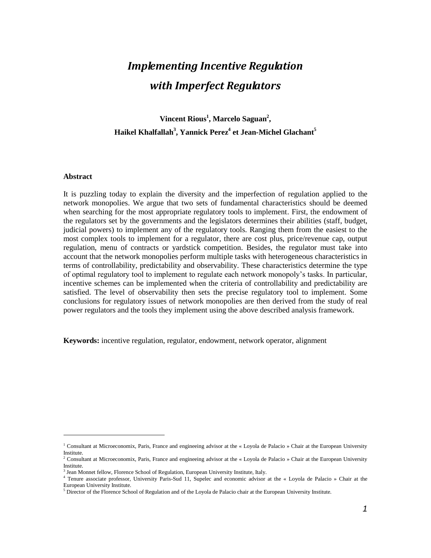# *Implementing Incentive Regulation with Imperfect Regulators*

**Vincent Rious<sup>1</sup> , Marcelo Saguan<sup>2</sup> , Haikel Khalfallah<sup>3</sup> , Yannick Perez<sup>4</sup> et Jean-Michel Glachant<sup>5</sup>**

#### **Abstract**

 $\overline{a}$ 

It is puzzling today to explain the diversity and the imperfection of regulation applied to the network monopolies. We argue that two sets of fundamental characteristics should be deemed when searching for the most appropriate regulatory tools to implement. First, the endowment of the regulators set by the governments and the legislators determines their abilities (staff, budget, judicial powers) to implement any of the regulatory tools. Ranging them from the easiest to the most complex tools to implement for a regulator, there are cost plus, price/revenue cap, output regulation, menu of contracts or yardstick competition. Besides, the regulator must take into account that the network monopolies perform multiple tasks with heterogeneous characteristics in terms of controllability, predictability and observability. These characteristics determine the type of optimal regulatory tool to implement to regulate each network monopoly"s tasks. In particular, incentive schemes can be implemented when the criteria of controllability and predictability are satisfied. The level of observability then sets the precise regulatory tool to implement. Some conclusions for regulatory issues of network monopolies are then derived from the study of real power regulators and the tools they implement using the above described analysis framework.

**Keywords:** incentive regulation, regulator, endowment, network operator, alignment

<sup>1</sup> Consultant at Microeconomix, Paris, France and engineeing advisor at the « Loyola de Palacio » Chair at the European University Institute.

<sup>&</sup>lt;sup>2</sup> Consultant at Microeconomix, Paris, France and engineeing advisor at the « Loyola de Palacio » Chair at the European University Institute.

<sup>&</sup>lt;sup>3</sup> Jean Monnet fellow, Florence School of Regulation, European University Institute, Italy.

<sup>&</sup>lt;sup>4</sup> Tenure associate professor, University Paris-Sud 11, Supelec and economic advisor at the « Loyola de Palacio » Chair at the European University Institute.

 $<sup>5</sup>$  Director of the Florence School of Regulation and of the Loyola de Palacio chair at the European University Institute.</sup>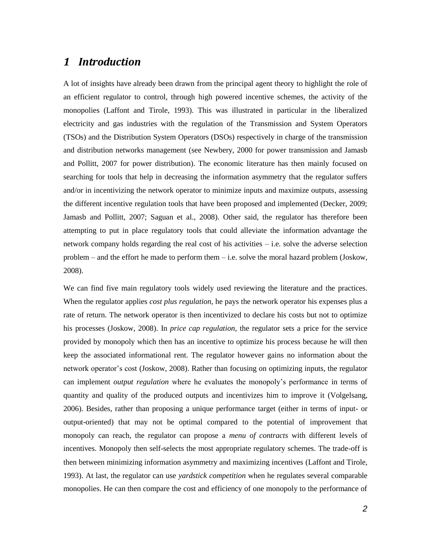## *1 Introduction*

A lot of insights have already been drawn from the principal agent theory to highlight the role of an efficient regulator to control, through high powered incentive schemes, the activity of the monopolies (Laffont and Tirole, 1993). This was illustrated in particular in the liberalized electricity and gas industries with the regulation of the Transmission and System Operators (TSOs) and the Distribution System Operators (DSOs) respectively in charge of the transmission and distribution networks management (see Newbery, 2000 for power transmission and Jamasb and Pollitt, 2007 for power distribution). The economic literature has then mainly focused on searching for tools that help in decreasing the information asymmetry that the regulator suffers and/or in incentivizing the network operator to minimize inputs and maximize outputs, assessing the different incentive regulation tools that have been proposed and implemented (Decker, 2009; Jamasb and Pollitt, 2007; Saguan et al., 2008). Other said, the regulator has therefore been attempting to put in place regulatory tools that could alleviate the information advantage the network company holds regarding the real cost of his activities – i.e. solve the adverse selection problem – and the effort he made to perform them – i.e. solve the moral hazard problem (Joskow, 2008).

We can find five main regulatory tools widely used reviewing the literature and the practices. When the regulator applies *cost plus regulation*, he pays the network operator his expenses plus a rate of return. The network operator is then incentivized to declare his costs but not to optimize his processes (Joskow, 2008). In *price cap regulation*, the regulator sets a price for the service provided by monopoly which then has an incentive to optimize his process because he will then keep the associated informational rent. The regulator however gains no information about the network operator's cost (Joskow, 2008). Rather than focusing on optimizing inputs, the regulator can implement *output regulation* where he evaluates the monopoly"s performance in terms of quantity and quality of the produced outputs and incentivizes him to improve it (Volgelsang, 2006). Besides, rather than proposing a unique performance target (either in terms of input- or output-oriented) that may not be optimal compared to the potential of improvement that monopoly can reach, the regulator can propose a *menu of contracts* with different levels of incentives. Monopoly then self-selects the most appropriate regulatory schemes. The trade-off is then between minimizing information asymmetry and maximizing incentives (Laffont and Tirole, 1993). At last, the regulator can use *yardstick competition* when he regulates several comparable monopolies. He can then compare the cost and efficiency of one monopoly to the performance of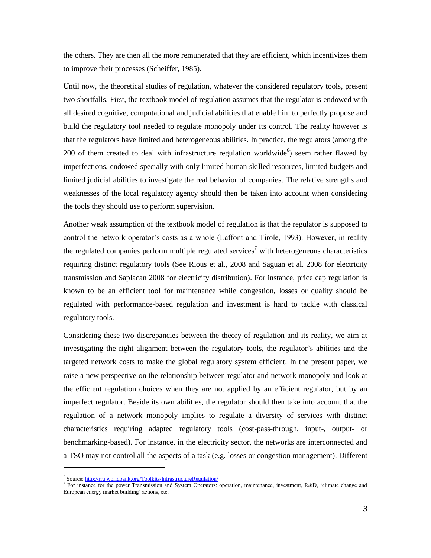the others. They are then all the more remunerated that they are efficient, which incentivizes them to improve their processes (Scheiffer, 1985).

Until now, the theoretical studies of regulation, whatever the considered regulatory tools, present two shortfalls. First, the textbook model of regulation assumes that the regulator is endowed with all desired cognitive, computational and judicial abilities that enable him to perfectly propose and build the regulatory tool needed to regulate monopoly under its control. The reality however is that the regulators have limited and heterogeneous abilities. In practice, the regulators (among the 200 of them created to deal with infrastructure regulation worldwide $6$ ) seem rather flawed by imperfections, endowed specially with only limited human skilled resources, limited budgets and limited judicial abilities to investigate the real behavior of companies. The relative strengths and weaknesses of the local regulatory agency should then be taken into account when considering the tools they should use to perform supervision.

Another weak assumption of the textbook model of regulation is that the regulator is supposed to control the network operator"s costs as a whole (Laffont and Tirole, 1993). However, in reality the regulated companies perform multiple regulated services<sup>7</sup> with heterogeneous characteristics requiring distinct regulatory tools (See Rious et al., 2008 and Saguan et al. 2008 for electricity transmission and Saplacan 2008 for electricity distribution). For instance, price cap regulation is known to be an efficient tool for maintenance while congestion, losses or quality should be regulated with performance-based regulation and investment is hard to tackle with classical regulatory tools.

Considering these two discrepancies between the theory of regulation and its reality, we aim at investigating the right alignment between the regulatory tools, the regulator's abilities and the targeted network costs to make the global regulatory system efficient. In the present paper, we raise a new perspective on the relationship between regulator and network monopoly and look at the efficient regulation choices when they are not applied by an efficient regulator, but by an imperfect regulator. Beside its own abilities, the regulator should then take into account that the regulation of a network monopoly implies to regulate a diversity of services with distinct characteristics requiring adapted regulatory tools (cost-pass-through, input-, output- or benchmarking-based). For instance, in the electricity sector, the networks are interconnected and a TSO may not control all the aspects of a task (e.g. losses or congestion management). Different

<sup>&</sup>lt;sup>6</sup> Source[: http://rru.worldbank.org/Toolkits/InfrastructureRegulation/](http://rru.worldbank.org/Toolkits/InfrastructureRegulation/)

<sup>&</sup>lt;sup>7</sup> For instance for the power Transmission and System Operators: operation, maintenance, investment, R&D, 'climate change and European energy market building' actions, etc.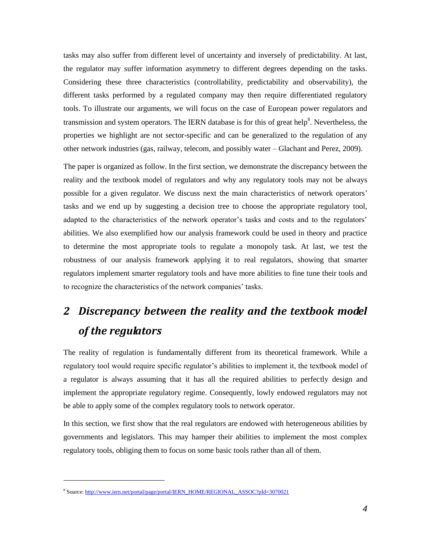tasks may also suffer from different level of uncertainty and inversely of predictability. At last, the regulator may suffer information asymmetry to different degrees depending on the tasks. Considering these three characteristics (controllability, predictability and observability), the different tasks performed by a regulated company may then require differentiated regulatory tools. To illustrate our arguments, we will focus on the case of European power regulators and transmission and system operators. The IERN database is for this of great help<sup>8</sup>. Nevertheless, the properties we highlight are not sector-specific and can be generalized to the regulation of any other network industries (gas, railway, telecom, and possibly water – Glachant and Perez, 2009).

The paper is organized as follow. In the first section, we demonstrate the discrepancy between the reality and the textbook model of regulators and why any regulatory tools may not be always possible for a given regulator. We discuss next the main characteristics of network operators" tasks and we end up by suggesting a decision tree to choose the appropriate regulatory tool, adapted to the characteristics of the network operator's tasks and costs and to the regulators' abilities. We also exemplified how our analysis framework could be used in theory and practice to determine the most appropriate tools to regulate a monopoly task. At last, we test the robustness of our analysis framework applying it to real regulators, showing that smarter regulators implement smarter regulatory tools and have more abilities to fine tune their tools and to recognize the characteristics of the network companies" tasks.

# *2 Discrepancy between the reality and the textbook model of the regulators*

The reality of regulation is fundamentally different from its theoretical framework. While a regulatory tool would require specific regulator's abilities to implement it, the textbook model of a regulator is always assuming that it has all the required abilities to perfectly design and implement the appropriate regulatory regime. Consequently, lowly endowed regulators may not be able to apply some of the complex regulatory tools to network operator.

In this section, we first show that the real regulators are endowed with heterogeneous abilities by governments and legislators. This may hamper their abilities to implement the most complex regulatory tools, obliging them to focus on some basic tools rather than all of them.

<sup>&</sup>lt;sup>8</sup> Source[: http://www.iern.net/portal/page/portal/IERN\\_HOME/REGIONAL\\_ASSOC?pId=3070021](http://www.iern.net/portal/page/portal/IERN_HOME/REGIONAL_ASSOC?pId=3070021)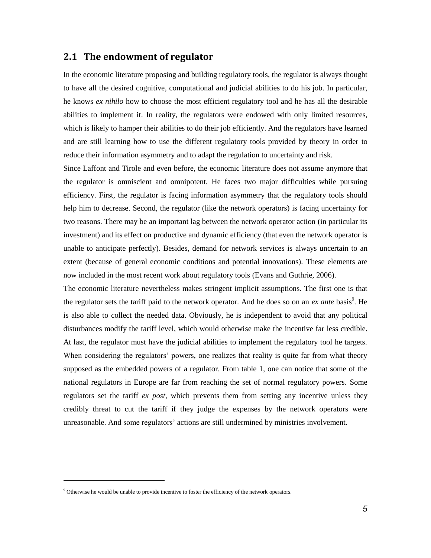### **2.1 The endowment of regulator**

In the economic literature proposing and building regulatory tools, the regulator is always thought to have all the desired cognitive, computational and judicial abilities to do his job. In particular, he knows *ex nihilo* how to choose the most efficient regulatory tool and he has all the desirable abilities to implement it. In reality, the regulators were endowed with only limited resources, which is likely to hamper their abilities to do their job efficiently. And the regulators have learned and are still learning how to use the different regulatory tools provided by theory in order to reduce their information asymmetry and to adapt the regulation to uncertainty and risk.

Since Laffont and Tirole and even before, the economic literature does not assume anymore that the regulator is omniscient and omnipotent. He faces two major difficulties while pursuing efficiency. First, the regulator is facing information asymmetry that the regulatory tools should help him to decrease. Second, the regulator (like the network operators) is facing uncertainty for two reasons. There may be an important lag between the network operator action (in particular its investment) and its effect on productive and dynamic efficiency (that even the network operator is unable to anticipate perfectly). Besides, demand for network services is always uncertain to an extent (because of general economic conditions and potential innovations). These elements are now included in the most recent work about regulatory tools (Evans and Guthrie, 2006).

The economic literature nevertheless makes stringent implicit assumptions. The first one is that the regulator sets the tariff paid to the network operator. And he does so on an *ex ante* basis<sup>9</sup>. He is also able to collect the needed data. Obviously, he is independent to avoid that any political disturbances modify the tariff level, which would otherwise make the incentive far less credible. At last, the regulator must have the judicial abilities to implement the regulatory tool he targets. When considering the regulators' powers, one realizes that reality is quite far from what theory supposed as the embedded powers of a regulator. From table 1, one can notice that some of the national regulators in Europe are far from reaching the set of normal regulatory powers. Some regulators set the tariff *ex post,* which prevents them from setting any incentive unless they credibly threat to cut the tariff if they judge the expenses by the network operators were unreasonable. And some regulators" actions are still undermined by ministries involvement.

<sup>9</sup> Otherwise he would be unable to provide incentive to foster the efficiency of the network operators.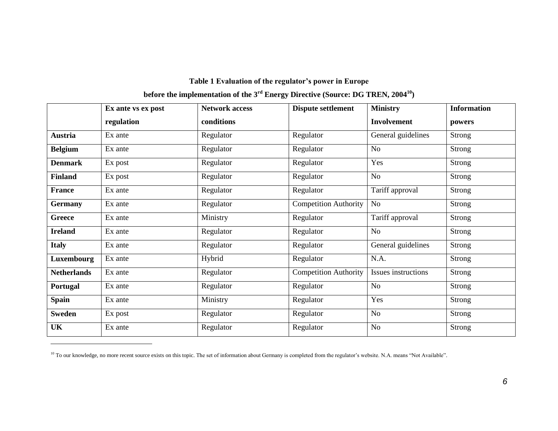## **Table 1 Evaluation of the regulator's power in Europe**

## **before the implementation of the 3rd Energy Directive (Source: DG TREN, 2004<sup>10</sup>)**

|                    | Ex ante vs ex post | <b>Network access</b> | Dispute settlement           | <b>Ministry</b>     | <b>Information</b> |
|--------------------|--------------------|-----------------------|------------------------------|---------------------|--------------------|
|                    | regulation         | conditions            |                              | <b>Involvement</b>  | powers             |
| Austria            | Ex ante            | Regulator             | Regulator                    | General guidelines  | <b>Strong</b>      |
| <b>Belgium</b>     | Ex ante            | Regulator             | Regulator                    | No                  | Strong             |
| <b>Denmark</b>     | Ex post            | Regulator             | Regulator                    | Yes                 | <b>Strong</b>      |
| <b>Finland</b>     | Ex post            | Regulator             | Regulator                    | No                  | <b>Strong</b>      |
| <b>France</b>      | Ex ante            | Regulator             | Regulator                    | Tariff approval     | Strong             |
| <b>Germany</b>     | Ex ante            | Regulator             | <b>Competition Authority</b> | No                  | <b>Strong</b>      |
| Greece             | Ex ante            | Ministry              | Regulator                    | Tariff approval     | Strong             |
| <b>Ireland</b>     | Ex ante            | Regulator             | Regulator                    | No                  | Strong             |
| <b>Italy</b>       | Ex ante            | Regulator             | Regulator                    | General guidelines  | Strong             |
| Luxembourg         | Ex ante            | Hybrid                | Regulator                    | N.A.                | Strong             |
| <b>Netherlands</b> | Ex ante            | Regulator             | <b>Competition Authority</b> | Issues instructions | <b>Strong</b>      |
| Portugal           | Ex ante            | Regulator             | Regulator                    | No                  | Strong             |
| <b>Spain</b>       | Ex ante            | Ministry              | Regulator                    | Yes                 | <b>Strong</b>      |
| <b>Sweden</b>      | Ex post            | Regulator             | Regulator                    | No                  | Strong             |
| UK                 | Ex ante            | Regulator             | Regulator                    | No                  | Strong             |

<sup>&</sup>lt;sup>10</sup> To our knowledge, no more recent source exists on this topic. The set of information about Germany is completed from the regulator's website. N.A. means "Not Available".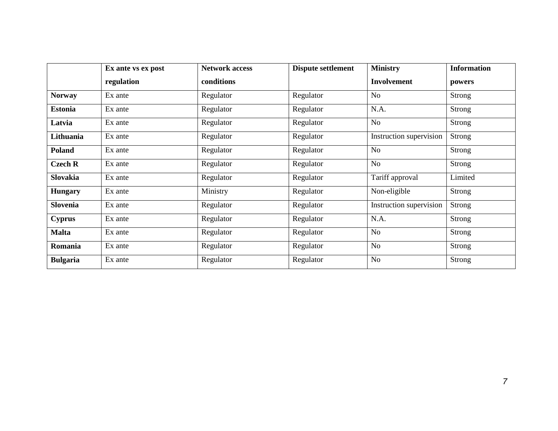|                 | Ex ante vs ex post | <b>Network access</b> | <b>Dispute settlement</b> | <b>Ministry</b>         | <b>Information</b> |
|-----------------|--------------------|-----------------------|---------------------------|-------------------------|--------------------|
|                 | regulation         | conditions            |                           | <b>Involvement</b>      | powers             |
| <b>Norway</b>   | Ex ante            | Regulator             | Regulator                 | No                      | Strong             |
| <b>Estonia</b>  | Ex ante            | Regulator             | Regulator                 | N.A.                    | Strong             |
| Latvia          | Ex ante            | Regulator             | Regulator                 | No                      | Strong             |
| Lithuania       | Ex ante            | Regulator             | Regulator                 | Instruction supervision | <b>Strong</b>      |
| Poland          | Ex ante            | Regulator             | Regulator                 | No                      | <b>Strong</b>      |
| <b>Czech R</b>  | Ex ante            | Regulator             | Regulator                 | No                      | <b>Strong</b>      |
| Slovakia        | Ex ante            | Regulator             | Regulator                 | Tariff approval         | Limited            |
| <b>Hungary</b>  | Ex ante            | Ministry              | Regulator                 | Non-eligible            | Strong             |
| Slovenia        | Ex ante            | Regulator             | Regulator                 | Instruction supervision | <b>Strong</b>      |
| <b>Cyprus</b>   | Ex ante            | Regulator             | Regulator                 | N.A.                    | <b>Strong</b>      |
| <b>Malta</b>    | Ex ante            | Regulator             | Regulator                 | N <sub>o</sub>          | Strong             |
| Romania         | Ex ante            | Regulator             | Regulator                 | No                      | Strong             |
| <b>Bulgaria</b> | Ex ante            | Regulator             | Regulator                 | <b>No</b>               | Strong             |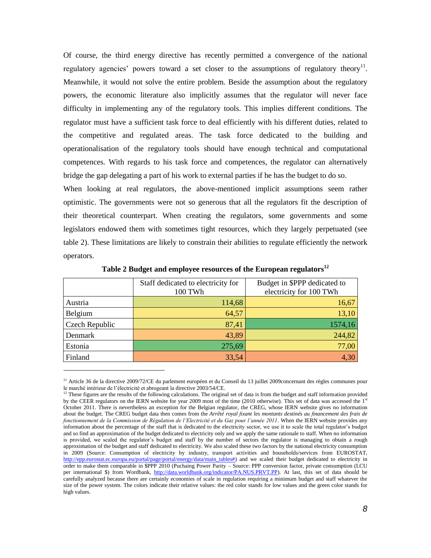Of course, the third energy directive has recently permitted a convergence of the national regulatory agencies' powers toward a set closer to the assumptions of regulatory theory<sup>11</sup>. Meanwhile, it would not solve the entire problem. Beside the assumption about the regulatory powers, the economic literature also implicitly assumes that the regulator will never face difficulty in implementing any of the regulatory tools. This implies different conditions. The regulator must have a sufficient task force to deal efficiently with his different duties, related to the competitive and regulated areas. The task force dedicated to the building and operationalisation of the regulatory tools should have enough technical and computational competences. With regards to his task force and competences, the regulator can alternatively bridge the gap delegating a part of his work to external parties if he has the budget to do so.

When looking at real regulators, the above-mentioned implicit assumptions seem rather optimistic. The governments were not so generous that all the regulators fit the description of their theoretical counterpart. When creating the regulators, some governments and some legislators endowed them with sometimes tight resources, which they largely perpetuated (see [table 2\)](#page-7-0). These limitations are likely to constrain their abilities to regulate efficiently the network operators.

<span id="page-7-0"></span>

|                       | Staff dedicated to electricity for<br>100 TWh | Budget in \$PPP dedicated to<br>electricity for 100 TWh |
|-----------------------|-----------------------------------------------|---------------------------------------------------------|
| Austria               | 114,68                                        | 16,67                                                   |
| Belgium               | 64,57                                         | 13,10                                                   |
| <b>Czech Republic</b> | 87,41                                         | 1574,16                                                 |
| Denmark               | 43,89                                         | 244,82                                                  |
| Estonia               | 275,69                                        | 77,00                                                   |
| Finland               | 33,54                                         | 4,30                                                    |

**Table 2 Budget and employee resources of the European regulators<sup>12</sup>**

<sup>&</sup>lt;sup>11</sup> Article 36 de la directive 2009/72/CE du parlement européen et du Conseil du 13 juillet 2009concernant des règles communes pour le marché intérieur de l"électricité et abrogeant la directive 2003/54/CE.

 $12$  These figures are the results of the following calculations. The original set of data is from the budget and staff information provided by the CEER regulators on the IERN website for year 2009 most of the time (2010 otherwise). This set of data was accessed the 1st October 2011. There is nevertheless an exception for the Belgian regulator, the CREG, whose IERN website gives no information about the budget. The CREG budget data then comes from the *Arrêté royal fixant les montants destinés au financement des frais de fonctionnement de la Commission de Régulation de l'Electricité et du Gaz pour l'année 2011*. When the IERN website provides any information about the percentage of the staff that is dedicated to the electricity sector, we use it to scale the total regulator"s budget and so find an approximation of the budget dedicated to electricity only and we apply the same rationale to staff. When no information is provided, we scaled the regulator's budget and staff by the number of sectors the regulator is managing to obtain a rough approximation of the budget and staff dedicated to electricity. We also scaled these two factors by the national electricity consumption in 2009 (Source: Consumption of electricity by industry, transport activities and households/services from EUROSTAT, [http://epp.eurostat.ec.europa.eu/portal/page/portal/energy/data/main\\_tables#\)](http://epp.eurostat.ec.europa.eu/portal/page/portal/energy/data/main_tables) and we scaled their budget dedicated to electricity in order to make them comparable in \$PPP 2010 (Puchaing Power Parity – Source: PPP conversion factor, private consumption (LCU per international \$) from Wordbank, [http://data.worldbank.org/indicator/PA.NUS.PRVT.PP\)](http://data.worldbank.org/indicator/PA.NUS.PRVT.PP). At last, this set of data should be carefully analyzed because there are certainly economies of scale in regulation requiring a minimum budget and staff whatever the size of the power system. The colors indicate their relative values: the red color stands for low values and the green color stands for high values.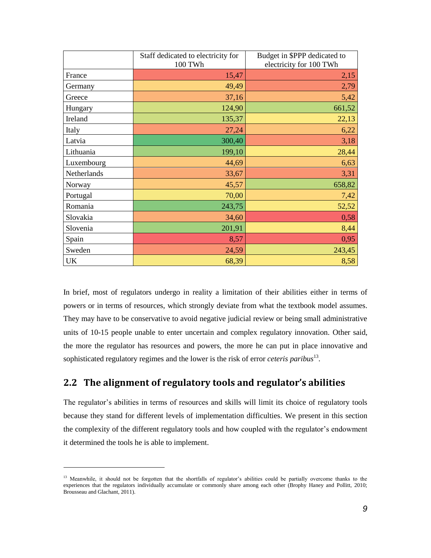|             | Staff dedicated to electricity for | Budget in \$PPP dedicated to |
|-------------|------------------------------------|------------------------------|
|             | 100 TWh                            | electricity for 100 TWh      |
| France      | 15,47                              | 2,15                         |
| Germany     | 49,49                              | 2,79                         |
| Greece      | 37,16                              | 5,42                         |
| Hungary     | 124,90                             | 661,52                       |
| Ireland     | 135,37                             | 22,13                        |
| Italy       | 27,24                              | 6,22                         |
| Latvia      | 300,40                             | 3,18                         |
| Lithuania   | 199,10                             | 28,44                        |
| Luxembourg  | 44,69                              | 6,63                         |
| Netherlands | 33,67                              | 3,31                         |
| Norway      | 45,57                              | 658,82                       |
| Portugal    | 70,00                              | 7,42                         |
| Romania     | 243,75                             | 52,52                        |
| Slovakia    | 34,60                              | 0,58                         |
| Slovenia    | 201,91                             | 8,44                         |
| Spain       | 8,57                               | 0,95                         |
| Sweden      | 24,59                              | 243,45                       |
| <b>UK</b>   | 68,39                              | 8,58                         |

In brief, most of regulators undergo in reality a limitation of their abilities either in terms of powers or in terms of resources, which strongly deviate from what the textbook model assumes. They may have to be conservative to avoid negative judicial review or being small administrative units of 10-15 people unable to enter uncertain and complex regulatory innovation. Other said, the more the regulator has resources and powers, the more he can put in place innovative and sophisticated regulatory regimes and the lower is the risk of error *ceteris paribus*<sup>13</sup> .

### **2.2 The alignment of regulatory tools and regulator's abilities**

The regulator"s abilities in terms of resources and skills will limit its choice of regulatory tools because they stand for different levels of implementation difficulties. We present in this section the complexity of the different regulatory tools and how coupled with the regulator"s endowment it determined the tools he is able to implement.

<sup>&</sup>lt;sup>13</sup> Meanwhile, it should not be forgotten that the shortfalls of regulator's abilities could be partially overcome thanks to the experiences that the regulators individually accumulate or commonly share among each other (Brophy Haney and Pollitt, 2010; Brousseau and Glachant, 2011).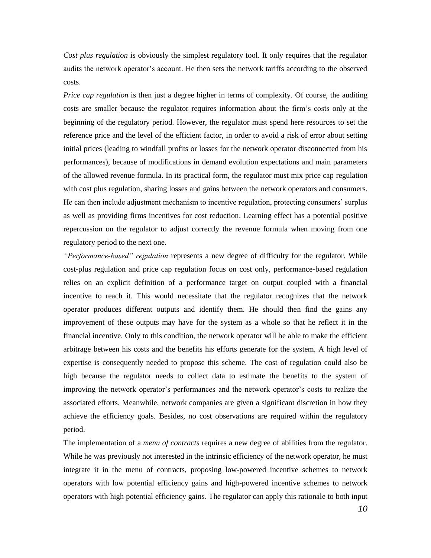*Cost plus regulation* is obviously the simplest regulatory tool. It only requires that the regulator audits the network operator"s account. He then sets the network tariffs according to the observed costs.

*Price cap regulation* is then just a degree higher in terms of complexity. Of course, the auditing costs are smaller because the regulator requires information about the firm"s costs only at the beginning of the regulatory period. However, the regulator must spend here resources to set the reference price and the level of the efficient factor, in order to avoid a risk of error about setting initial prices (leading to windfall profits or losses for the network operator disconnected from his performances), because of modifications in demand evolution expectations and main parameters of the allowed revenue formula. In its practical form, the regulator must mix price cap regulation with cost plus regulation, sharing losses and gains between the network operators and consumers. He can then include adjustment mechanism to incentive regulation, protecting consumers" surplus as well as providing firms incentives for cost reduction. Learning effect has a potential positive repercussion on the regulator to adjust correctly the revenue formula when moving from one regulatory period to the next one.

*"Performance-based" regulation* represents a new degree of difficulty for the regulator. While cost-plus regulation and price cap regulation focus on cost only, performance-based regulation relies on an explicit definition of a performance target on output coupled with a financial incentive to reach it. This would necessitate that the regulator recognizes that the network operator produces different outputs and identify them. He should then find the gains any improvement of these outputs may have for the system as a whole so that he reflect it in the financial incentive. Only to this condition, the network operator will be able to make the efficient arbitrage between his costs and the benefits his efforts generate for the system. A high level of expertise is consequently needed to propose this scheme. The cost of regulation could also be high because the regulator needs to collect data to estimate the benefits to the system of improving the network operator"s performances and the network operator"s costs to realize the associated efforts. Meanwhile, network companies are given a significant discretion in how they achieve the efficiency goals. Besides, no cost observations are required within the regulatory period.

The implementation of a *menu of contracts* requires a new degree of abilities from the regulator. While he was previously not interested in the intrinsic efficiency of the network operator, he must integrate it in the menu of contracts, proposing low-powered incentive schemes to network operators with low potential efficiency gains and high-powered incentive schemes to network operators with high potential efficiency gains. The regulator can apply this rationale to both input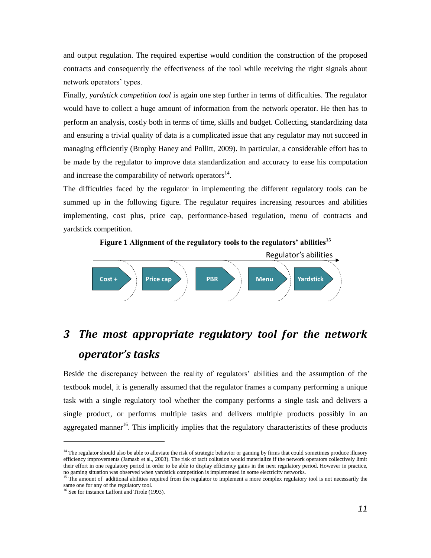and output regulation. The required expertise would condition the construction of the proposed contracts and consequently the effectiveness of the tool while receiving the right signals about network operators' types.

Finally, *yardstick competition tool* is again one step further in terms of difficulties. The regulator would have to collect a huge amount of information from the network operator. He then has to perform an analysis, costly both in terms of time, skills and budget. Collecting, standardizing data and ensuring a trivial quality of data is a complicated issue that any regulator may not succeed in managing efficiently (Brophy Haney and Pollitt, 2009). In particular, a considerable effort has to be made by the regulator to improve data standardization and accuracy to ease his computation and increase the comparability of network operators $^{14}$ .

The difficulties faced by the regulator in implementing the different regulatory tools can be summed up in the following figure. The regulator requires increasing resources and abilities implementing, cost plus, price cap, performance-based regulation, menu of contracts and yardstick competition.



# *3 The most appropriate regulatory tool for the network operator's tasks*

Beside the discrepancy between the reality of regulators" abilities and the assumption of the textbook model, it is generally assumed that the regulator frames a company performing a unique task with a single regulatory tool whether the company performs a single task and delivers a single product, or performs multiple tasks and delivers multiple products possibly in an aggregated manner<sup>16</sup>. This implicitly implies that the regulatory characteristics of these products

<sup>&</sup>lt;sup>14</sup> The regulator should also be able to alleviate the risk of strategic behavior or gaming by firms that could sometimes produce illusory efficiency improvements (Jamasb et al., 2003). The risk of tacit collusion would materialize if the network operators collectively limit their effort in one regulatory period in order to be able to display efficiency gains in the next regulatory period. However in practice, no gaming situation was observed when yardstick competition is implemented in some electricity networks.

<sup>&</sup>lt;sup>15</sup> The amount of additional abilities required from the regulator to implement a more complex regulatory tool is not necessarily the same one for any of the regulatory tool.

<sup>&</sup>lt;sup>16</sup> See for instance Laffont and Tirole (1993).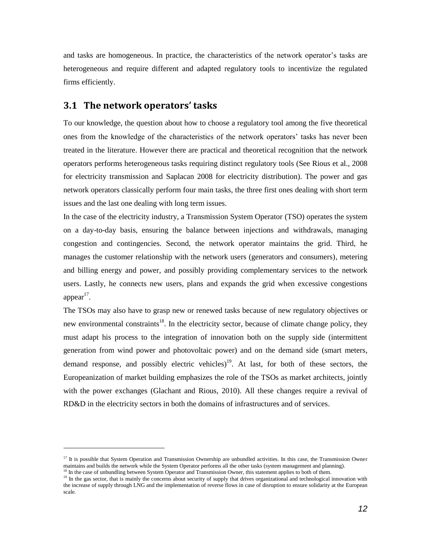and tasks are homogeneous. In practice, the characteristics of the network operator"s tasks are heterogeneous and require different and adapted regulatory tools to incentivize the regulated firms efficiently.

### **3.1 The network operators' tasks**

 $\overline{a}$ 

To our knowledge, the question about how to choose a regulatory tool among the five theoretical ones from the knowledge of the characteristics of the network operators" tasks has never been treated in the literature. However there are practical and theoretical recognition that the network operators performs heterogeneous tasks requiring distinct regulatory tools (See Rious et al., 2008 for electricity transmission and Saplacan 2008 for electricity distribution). The power and gas network operators classically perform four main tasks, the three first ones dealing with short term issues and the last one dealing with long term issues.

In the case of the electricity industry, a Transmission System Operator (TSO) operates the system on a day-to-day basis, ensuring the balance between injections and withdrawals, managing congestion and contingencies. Second, the network operator maintains the grid. Third, he manages the customer relationship with the network users (generators and consumers), metering and billing energy and power, and possibly providing complementary services to the network users. Lastly, he connects new users, plans and expands the grid when excessive congestions  $appear<sup>17</sup>$ .

The TSOs may also have to grasp new or renewed tasks because of new regulatory objectives or new environmental constraints<sup>18</sup>. In the electricity sector, because of climate change policy, they must adapt his process to the integration of innovation both on the supply side (intermittent generation from wind power and photovoltaic power) and on the demand side (smart meters, demand response, and possibly electric vehicles)<sup>19</sup>. At last, for both of these sectors, the Europeanization of market building emphasizes the role of the TSOs as market architects, jointly with the power exchanges (Glachant and Rious, 2010). All these changes require a revival of RD&D in the electricity sectors in both the domains of infrastructures and of services.

<sup>&</sup>lt;sup>17</sup> It is possible that System Operation and Transmission Ownership are unbundled activities. In this case, the Transmission Owner maintains and builds the network while the System Operator performs all the other tasks (system management and planning). <sup>18</sup> In the case of unbundling between System Operator and Transmission Owner, this statement applies to both of them.

<sup>&</sup>lt;sup>19</sup> In the gas sector, that is mainly the concerns about security of supply that drives organizational and technological innovation with the increase of supply through LNG and the implementation of reverse flows in case of disruption to ensure solidarity at the European scale.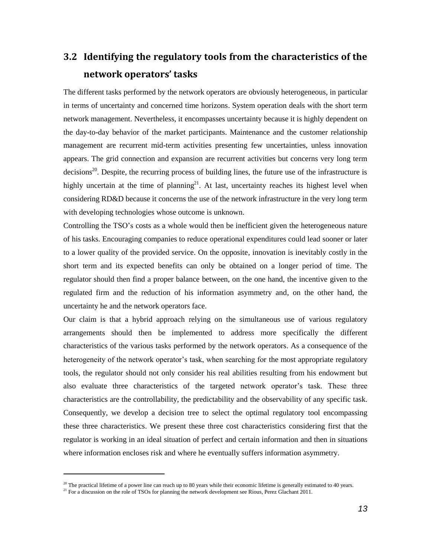# **3.2 Identifying the regulatory tools from the characteristics of the network operators' tasks**

The different tasks performed by the network operators are obviously heterogeneous, in particular in terms of uncertainty and concerned time horizons. System operation deals with the short term network management. Nevertheless, it encompasses uncertainty because it is highly dependent on the day-to-day behavior of the market participants. Maintenance and the customer relationship management are recurrent mid-term activities presenting few uncertainties, unless innovation appears. The grid connection and expansion are recurrent activities but concerns very long term  $\alpha$  decisions<sup>20</sup>. Despite, the recurring process of building lines, the future use of the infrastructure is highly uncertain at the time of planning<sup>21</sup>. At last, uncertainty reaches its highest level when considering RD&D because it concerns the use of the network infrastructure in the very long term with developing technologies whose outcome is unknown.

Controlling the TSO"s costs as a whole would then be inefficient given the heterogeneous nature of his tasks. Encouraging companies to reduce operational expenditures could lead sooner or later to a lower quality of the provided service. On the opposite, innovation is inevitably costly in the short term and its expected benefits can only be obtained on a longer period of time. The regulator should then find a proper balance between, on the one hand, the incentive given to the regulated firm and the reduction of his information asymmetry and, on the other hand, the uncertainty he and the network operators face.

Our claim is that a hybrid approach relying on the simultaneous use of various regulatory arrangements should then be implemented to address more specifically the different characteristics of the various tasks performed by the network operators. As a consequence of the heterogeneity of the network operator's task, when searching for the most appropriate regulatory tools, the regulator should not only consider his real abilities resulting from his endowment but also evaluate three characteristics of the targeted network operator"s task. These three characteristics are the controllability, the predictability and the observability of any specific task. Consequently, we develop a decision tree to select the optimal regulatory tool encompassing these three characteristics. We present these three cost characteristics considering first that the regulator is working in an ideal situation of perfect and certain information and then in situations where information encloses risk and where he eventually suffers information asymmetry.

 $20$  The practical lifetime of a power line can reach up to 80 years while their economic lifetime is generally estimated to 40 years.

<sup>&</sup>lt;sup>21</sup> For a discussion on the role of TSOs for planning the network development see Rious, Perez Glachant 2011.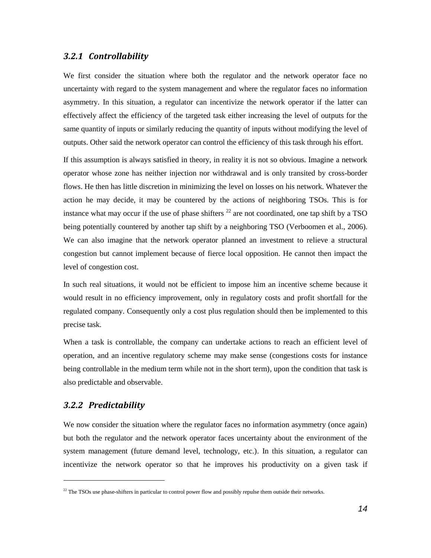### *3.2.1 Controllability*

We first consider the situation where both the regulator and the network operator face no uncertainty with regard to the system management and where the regulator faces no information asymmetry. In this situation, a regulator can incentivize the network operator if the latter can effectively affect the efficiency of the targeted task either increasing the level of outputs for the same quantity of inputs or similarly reducing the quantity of inputs without modifying the level of outputs. Other said the network operator can control the efficiency of this task through his effort.

If this assumption is always satisfied in theory, in reality it is not so obvious. Imagine a network operator whose zone has neither injection nor withdrawal and is only transited by cross-border flows. He then has little discretion in minimizing the level on losses on his network. Whatever the action he may decide, it may be countered by the actions of neighboring TSOs. This is for instance what may occur if the use of phase shifters  $^{22}$  are not coordinated, one tap shift by a TSO being potentially countered by another tap shift by a neighboring TSO (Verboomen et al., 2006). We can also imagine that the network operator planned an investment to relieve a structural congestion but cannot implement because of fierce local opposition. He cannot then impact the level of congestion cost.

In such real situations, it would not be efficient to impose him an incentive scheme because it would result in no efficiency improvement, only in regulatory costs and profit shortfall for the regulated company. Consequently only a cost plus regulation should then be implemented to this precise task.

When a task is controllable, the company can undertake actions to reach an efficient level of operation, and an incentive regulatory scheme may make sense (congestions costs for instance being controllable in the medium term while not in the short term), upon the condition that task is also predictable and observable.

### *3.2.2 Predictability*

 $\overline{a}$ 

We now consider the situation where the regulator faces no information asymmetry (once again) but both the regulator and the network operator faces uncertainty about the environment of the system management (future demand level, technology, etc.). In this situation, a regulator can incentivize the network operator so that he improves his productivity on a given task if

<sup>&</sup>lt;sup>22</sup> The TSOs use phase-shifters in particular to control power flow and possibly repulse them outside their networks.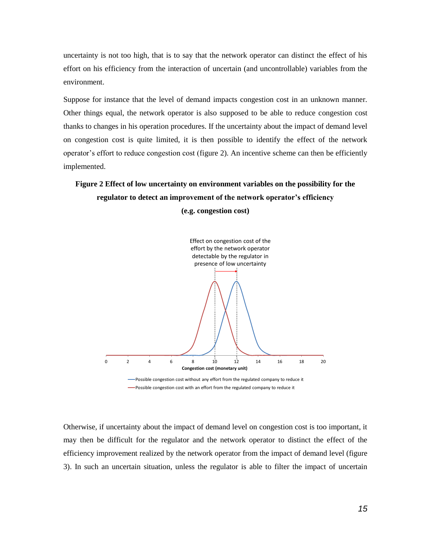uncertainty is not too high, that is to say that the network operator can distinct the effect of his effort on his efficiency from the interaction of uncertain (and uncontrollable) variables from the environment.

Suppose for instance that the level of demand impacts congestion cost in an unknown manner. Other things equal, the network operator is also supposed to be able to reduce congestion cost thanks to changes in his operation procedures. If the uncertainty about the impact of demand level on congestion cost is quite limited, it is then possible to identify the effect of the network operator"s effort to reduce congestion cost [\(figure 2\)](#page-14-0). An incentive scheme can then be efficiently implemented.

# <span id="page-14-0"></span>**Figure 2 Effect of low uncertainty on environment variables on the possibility for the regulator to detect an improvement of the network operator's efficiency**





Otherwise, if uncertainty about the impact of demand level on congestion cost is too important, it may then be difficult for the regulator and the network operator to distinct the effect of the efficiency improvement realized by the network operator from the impact of demand level [\(figure](#page-15-0)  [3\)](#page-15-0). In such an uncertain situation, unless the regulator is able to filter the impact of uncertain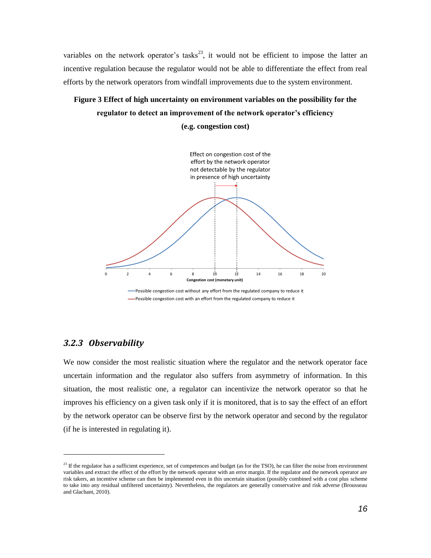variables on the network operator's tasks<sup>23</sup>, it would not be efficient to impose the latter an incentive regulation because the regulator would not be able to differentiate the effect from real efforts by the network operators from windfall improvements due to the system environment.

# <span id="page-15-0"></span>**Figure 3 Effect of high uncertainty on environment variables on the possibility for the regulator to detect an improvement of the network operator's efficiency**

**(e.g. congestion cost)**



### *3.2.3 Observability*

l

We now consider the most realistic situation where the regulator and the network operator face uncertain information and the regulator also suffers from asymmetry of information. In this situation, the most realistic one, a regulator can incentivize the network operator so that he improves his efficiency on a given task only if it is monitored, that is to say the effect of an effort by the network operator can be observe first by the network operator and second by the regulator (if he is interested in regulating it).

<sup>&</sup>lt;sup>23</sup> If the regulator has a sufficient experience, set of competences and budget (as for the TSO), he can filter the noise from environment variables and extract the effect of the effort by the network operator with an error margin. If the regulator and the network operator are risk takers, an incentive scheme can then be implemented even in this uncertain situation (possibly combined with a cost plus scheme to take into any residual unfiltered uncertainty). Nevertheless, the regulators are generally conservative and risk adverse (Brousseau and Glachant, 2010).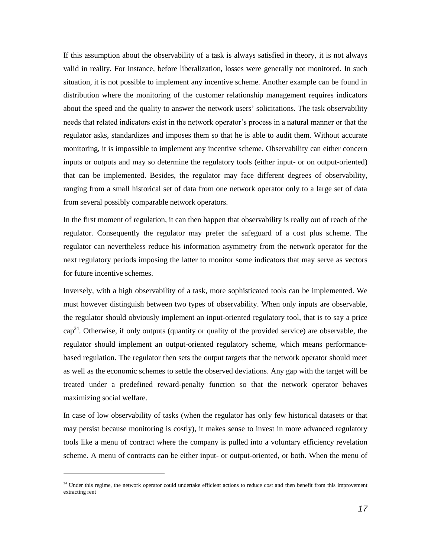If this assumption about the observability of a task is always satisfied in theory, it is not always valid in reality. For instance, before liberalization, losses were generally not monitored. In such situation, it is not possible to implement any incentive scheme. Another example can be found in distribution where the monitoring of the customer relationship management requires indicators about the speed and the quality to answer the network users" solicitations. The task observability needs that related indicators exist in the network operator"s process in a natural manner or that the regulator asks, standardizes and imposes them so that he is able to audit them. Without accurate monitoring, it is impossible to implement any incentive scheme. Observability can either concern inputs or outputs and may so determine the regulatory tools (either input- or on output-oriented) that can be implemented. Besides, the regulator may face different degrees of observability, ranging from a small historical set of data from one network operator only to a large set of data from several possibly comparable network operators.

In the first moment of regulation, it can then happen that observability is really out of reach of the regulator. Consequently the regulator may prefer the safeguard of a cost plus scheme. The regulator can nevertheless reduce his information asymmetry from the network operator for the next regulatory periods imposing the latter to monitor some indicators that may serve as vectors for future incentive schemes.

Inversely, with a high observability of a task, more sophisticated tools can be implemented. We must however distinguish between two types of observability. When only inputs are observable, the regulator should obviously implement an input-oriented regulatory tool, that is to say a price  $cap<sup>24</sup>$ . Otherwise, if only outputs (quantity or quality of the provided service) are observable, the regulator should implement an output-oriented regulatory scheme, which means performancebased regulation. The regulator then sets the output targets that the network operator should meet as well as the economic schemes to settle the observed deviations. Any gap with the target will be treated under a predefined reward-penalty function so that the network operator behaves maximizing social welfare.

In case of low observability of tasks (when the regulator has only few historical datasets or that may persist because monitoring is costly), it makes sense to invest in more advanced regulatory tools like a menu of contract where the company is pulled into a voluntary efficiency revelation scheme. A menu of contracts can be either input- or output-oriented, or both. When the menu of

<sup>&</sup>lt;sup>24</sup> Under this regime, the network operator could undertake efficient actions to reduce cost and then benefit from this improvement extracting rent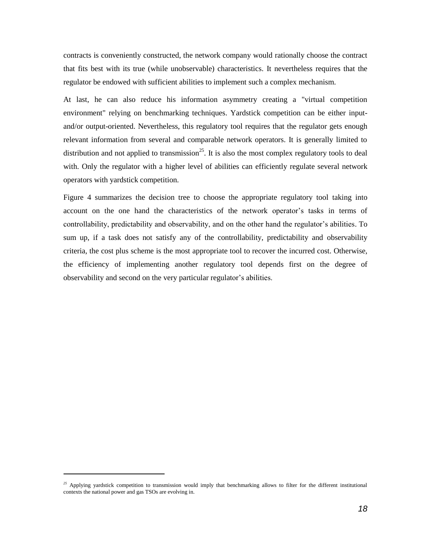contracts is conveniently constructed, the network company would rationally choose the contract that fits best with its true (while unobservable) characteristics. It nevertheless requires that the regulator be endowed with sufficient abilities to implement such a complex mechanism.

At last, he can also reduce his information asymmetry creating a "virtual competition environment" relying on benchmarking techniques. Yardstick competition can be either inputand/or output-oriented. Nevertheless, this regulatory tool requires that the regulator gets enough relevant information from several and comparable network operators. It is generally limited to distribution and not applied to transmission<sup>25</sup>. It is also the most complex regulatory tools to deal with. Only the regulator with a higher level of abilities can efficiently regulate several network operators with yardstick competition.

[Figure 4](#page-18-0) summarizes the decision tree to choose the appropriate regulatory tool taking into account on the one hand the characteristics of the network operator"s tasks in terms of controllability, predictability and observability, and on the other hand the regulator's abilities. To sum up, if a task does not satisfy any of the controllability, predictability and observability criteria, the cost plus scheme is the most appropriate tool to recover the incurred cost. Otherwise, the efficiency of implementing another regulatory tool depends first on the degree of observability and second on the very particular regulator's abilities.

<sup>&</sup>lt;sup>25</sup> Applying yardstick competition to transmission would imply that benchmarking allows to filter for the different institutional contexts the national power and gas TSOs are evolving in.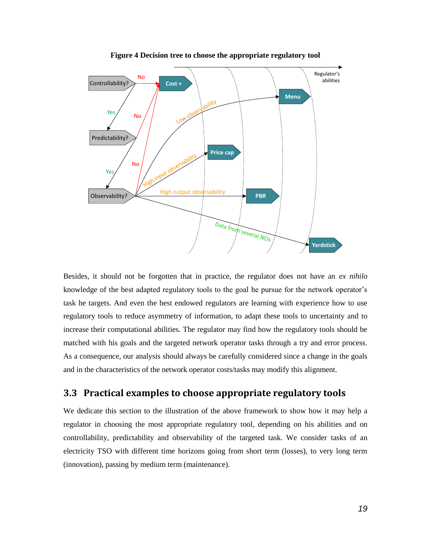<span id="page-18-0"></span>

**Figure 4 Decision tree to choose the appropriate regulatory tool**

Besides, it should not be forgotten that in practice, the regulator does not have an *ex nihilo* knowledge of the best adapted regulatory tools to the goal he pursue for the network operator"s task he targets. And even the best endowed regulators are learning with experience how to use regulatory tools to reduce asymmetry of information, to adapt these tools to uncertainty and to increase their computational abilities. The regulator may find how the regulatory tools should be matched with his goals and the targeted network operator tasks through a try and error process. As a consequence, our analysis should always be carefully considered since a change in the goals and in the characteristics of the network operator costs/tasks may modify this alignment.

### **3.3 Practical examples to choose appropriate regulatory tools**

We dedicate this section to the illustration of the above framework to show how it may help a regulator in choosing the most appropriate regulatory tool, depending on his abilities and on controllability, predictability and observability of the targeted task. We consider tasks of an electricity TSO with different time horizons going from short term (losses), to very long term (innovation), passing by medium term (maintenance).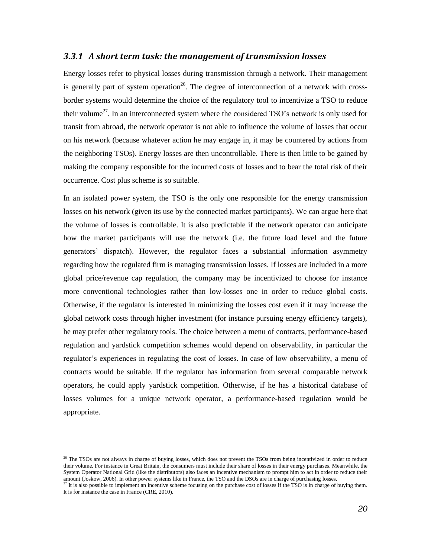#### *3.3.1 A short term task: the management of transmission losses*

Energy losses refer to physical losses during transmission through a network. Their management is generally part of system operation<sup>26</sup>. The degree of interconnection of a network with crossborder systems would determine the choice of the regulatory tool to incentivize a TSO to reduce their volume<sup>27</sup>. In an interconnected system where the considered TSO's network is only used for transit from abroad, the network operator is not able to influence the volume of losses that occur on his network (because whatever action he may engage in, it may be countered by actions from the neighboring TSOs). Energy losses are then uncontrollable. There is then little to be gained by making the company responsible for the incurred costs of losses and to bear the total risk of their occurrence. Cost plus scheme is so suitable.

In an isolated power system, the TSO is the only one responsible for the energy transmission losses on his network (given its use by the connected market participants). We can argue here that the volume of losses is controllable. It is also predictable if the network operator can anticipate how the market participants will use the network (i.e. the future load level and the future generators" dispatch). However, the regulator faces a substantial information asymmetry regarding how the regulated firm is managing transmission losses. If losses are included in a more global price/revenue cap regulation, the company may be incentivized to choose for instance more conventional technologies rather than low-losses one in order to reduce global costs. Otherwise, if the regulator is interested in minimizing the losses cost even if it may increase the global network costs through higher investment (for instance pursuing energy efficiency targets), he may prefer other regulatory tools. The choice between a menu of contracts, performance-based regulation and yardstick competition schemes would depend on observability, in particular the regulator"s experiences in regulating the cost of losses. In case of low observability, a menu of contracts would be suitable. If the regulator has information from several comparable network operators, he could apply yardstick competition. Otherwise, if he has a historical database of losses volumes for a unique network operator, a performance-based regulation would be appropriate.

<sup>&</sup>lt;sup>26</sup> The TSOs are not always in charge of buying losses, which does not prevent the TSOs from being incentivized in order to reduce their volume. For instance in Great Britain, the consumers must include their share of losses in their energy purchases. Meanwhile, the System Operator National Grid (like the distributors) also faces an incentive mechanism to prompt him to act in order to reduce their amount (Joskow, 2006). In other power systems like in France, the TSO and the DSOs are in charge of purchasing losses.

 $^{27}$  It is also possible to implement an incentive scheme focusing on the purchase cost of losses if the TSO is in charge of buying them. It is for instance the case in France (CRE, 2010).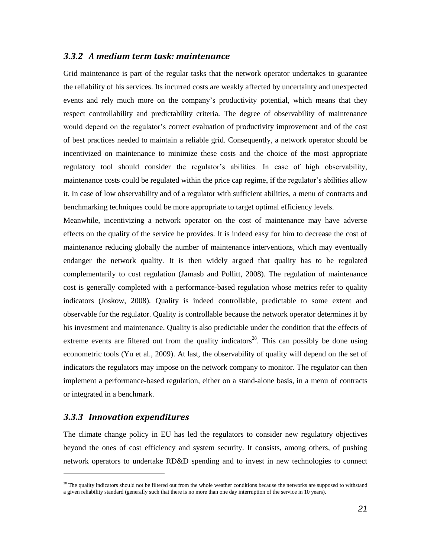### *3.3.2 A medium term task: maintenance*

Grid maintenance is part of the regular tasks that the network operator undertakes to guarantee the reliability of his services. Its incurred costs are weakly affected by uncertainty and unexpected events and rely much more on the company"s productivity potential, which means that they respect controllability and predictability criteria. The degree of observability of maintenance would depend on the regulator"s correct evaluation of productivity improvement and of the cost of best practices needed to maintain a reliable grid. Consequently, a network operator should be incentivized on maintenance to minimize these costs and the choice of the most appropriate regulatory tool should consider the regulator"s abilities. In case of high observability, maintenance costs could be regulated within the price cap regime, if the regulator's abilities allow it. In case of low observability and of a regulator with sufficient abilities, a menu of contracts and benchmarking techniques could be more appropriate to target optimal efficiency levels.

Meanwhile, incentivizing a network operator on the cost of maintenance may have adverse effects on the quality of the service he provides. It is indeed easy for him to decrease the cost of maintenance reducing globally the number of maintenance interventions, which may eventually endanger the network quality. It is then widely argued that quality has to be regulated complementarily to cost regulation (Jamasb and Pollitt, 2008). The regulation of maintenance cost is generally completed with a performance-based regulation whose metrics refer to quality indicators (Joskow, 2008). Quality is indeed controllable, predictable to some extent and observable for the regulator. Quality is controllable because the network operator determines it by his investment and maintenance. Quality is also predictable under the condition that the effects of extreme events are filtered out from the quality indicators<sup>28</sup>. This can possibly be done using econometric tools (Yu et al., 2009). At last, the observability of quality will depend on the set of indicators the regulators may impose on the network company to monitor. The regulator can then implement a performance-based regulation, either on a stand-alone basis, in a menu of contracts or integrated in a benchmark.

#### *3.3.3 Innovation expenditures*

l

The climate change policy in EU has led the regulators to consider new regulatory objectives beyond the ones of cost efficiency and system security. It consists, among others, of pushing network operators to undertake RD&D spending and to invest in new technologies to connect

<sup>&</sup>lt;sup>28</sup> The quality indicators should not be filtered out from the whole weather conditions because the networks are supposed to withstand a given reliability standard (generally such that there is no more than one day interruption of the service in 10 years).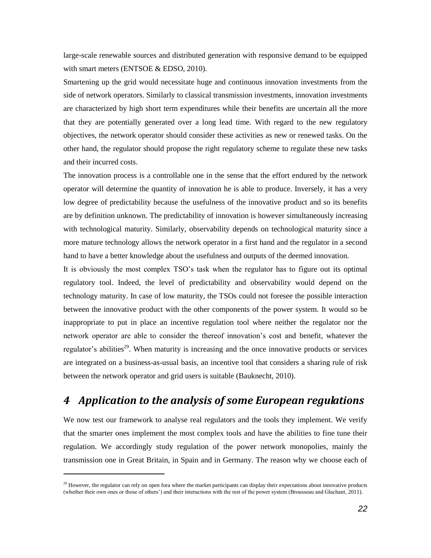large-scale renewable sources and distributed generation with responsive demand to be equipped with smart meters (ENTSOE & EDSO, 2010).

Smartening up the grid would necessitate huge and continuous innovation investments from the side of network operators. Similarly to classical transmission investments, innovation investments are characterized by high short term expenditures while their benefits are uncertain all the more that they are potentially generated over a long lead time. With regard to the new regulatory objectives, the network operator should consider these activities as new or renewed tasks. On the other hand, the regulator should propose the right regulatory scheme to regulate these new tasks and their incurred costs.

The innovation process is a controllable one in the sense that the effort endured by the network operator will determine the quantity of innovation he is able to produce. Inversely, it has a very low degree of predictability because the usefulness of the innovative product and so its benefits are by definition unknown. The predictability of innovation is however simultaneously increasing with technological maturity. Similarly, observability depends on technological maturity since a more mature technology allows the network operator in a first hand and the regulator in a second hand to have a better knowledge about the usefulness and outputs of the deemed innovation.

It is obviously the most complex TSO"s task when the regulator has to figure out its optimal regulatory tool. Indeed, the level of predictability and observability would depend on the technology maturity. In case of low maturity, the TSOs could not foresee the possible interaction between the innovative product with the other components of the power system. It would so be inappropriate to put in place an incentive regulation tool where neither the regulator nor the network operator are able to consider the thereof innovation"s cost and benefit, whatever the regulator's abilities<sup>29</sup>. When maturity is increasing and the once innovative products or services are integrated on a business-as-usual basis, an incentive tool that considers a sharing rule of risk between the network operator and grid users is suitable (Bauknecht, 2010).

### *4 Application to the analysis of some European regulations*

We now test our framework to analyse real regulators and the tools they implement. We verify that the smarter ones implement the most complex tools and have the abilities to fine tune their regulation. We accordingly study regulation of the power network monopolies, mainly the transmission one in Great Britain, in Spain and in Germany. The reason why we choose each of

<sup>&</sup>lt;sup>29</sup> However, the regulator can rely on open fora where the market participants can display their expectations about innovative products (whether their own ones or those of others") and their interactions with the rest of the power system (Brousseau and Glachant, 2011).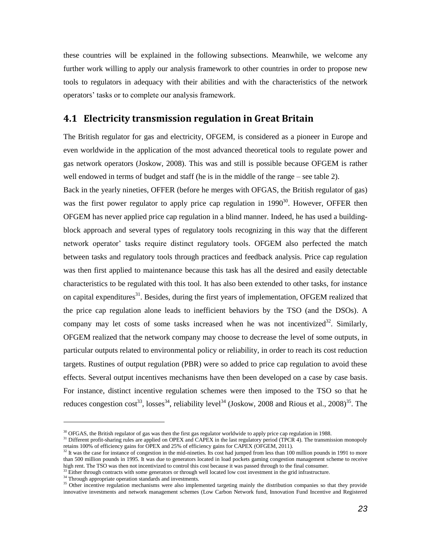these countries will be explained in the following subsections. Meanwhile, we welcome any further work willing to apply our analysis framework to other countries in order to propose new tools to regulators in adequacy with their abilities and with the characteristics of the network operators" tasks or to complete our analysis framework.

### **4.1 Electricity transmission regulation in Great Britain**

The British regulator for gas and electricity, OFGEM, is considered as a pioneer in Europe and even worldwide in the application of the most advanced theoretical tools to regulate power and gas network operators (Joskow, 2008). This was and still is possible because OFGEM is rather well endowed in terms of budget and staff (he is in the middle of the range – see table 2).

Back in the yearly nineties, OFFER (before he merges with OFGAS, the British regulator of gas) was the first power regulator to apply price cap regulation in  $1990^{30}$ . However, OFFER then OFGEM has never applied price cap regulation in a blind manner. Indeed, he has used a buildingblock approach and several types of regulatory tools recognizing in this way that the different network operator" tasks require distinct regulatory tools. OFGEM also perfected the match between tasks and regulatory tools through practices and feedback analysis. Price cap regulation was then first applied to maintenance because this task has all the desired and easily detectable characteristics to be regulated with this tool. It has also been extended to other tasks, for instance on capital expenditures<sup>31</sup>. Besides, during the first years of implementation, OFGEM realized that the price cap regulation alone leads to inefficient behaviors by the TSO (and the DSOs). A company may let costs of some tasks increased when he was not incentivized<sup>32</sup>. Similarly, OFGEM realized that the network company may choose to decrease the level of some outputs, in particular outputs related to environmental policy or reliability, in order to reach its cost reduction targets. Rustines of output regulation (PBR) were so added to price cap regulation to avoid these effects. Several output incentives mechanisms have then been developed on a case by case basis. For instance, distinct incentive regulation schemes were then imposed to the TSO so that he reduces congestion cost<sup>33</sup>, losses<sup>[34](#page-22-0)</sup>, reliability level<sup>34</sup> (Joskow, 2008 and Rious et al., 2008)<sup>35</sup>. The

<span id="page-22-0"></span><sup>&</sup>lt;sup>30</sup> OFGAS, the British regulator of gas was then the first gas regulator worldwide to apply price cap regulation in 1988.

<sup>&</sup>lt;sup>31</sup> Different profit-sharing rules are applied on OPEX and CAPEX in the last regulatory period (TPCR 4). The transmission monopoly retains 100% of efficiency gains for OPEX and 25% of efficiency gains for CAPEX (OFGEM, 2011).

<sup>&</sup>lt;sup>32</sup> It was the case for instance of congestion in the mid-nineties. Its cost had jumped from less than 100 million pounds in 1991 to more than 500 million pounds in 1995. It was due to generators located in load pockets gaming congestion management scheme to receive high rent. The TSO was then not incentivized to control this cost because it was passed through to the final consumer.  $33$  Either through contracts with some generators or through well located low cost investment in the grid infrastructure.

<sup>&</sup>lt;sup>34</sup> Through appropriate operation standards and investments.

<sup>&</sup>lt;sup>35</sup> Other incentive regulation mechanisms were also implemented targeting mainly the distribution companies so that they provide innovative investments and network management schemes (Low Carbon Network fund, Innovation Fund Incentive and Registered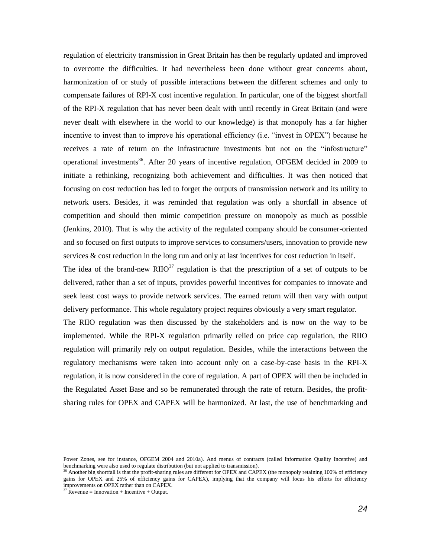regulation of electricity transmission in Great Britain has then be regularly updated and improved to overcome the difficulties. It had nevertheless been done without great concerns about, harmonization of or study of possible interactions between the different schemes and only to compensate failures of RPI-X cost incentive regulation. In particular, one of the biggest shortfall of the RPI-X regulation that has never been dealt with until recently in Great Britain (and were never dealt with elsewhere in the world to our knowledge) is that monopoly has a far higher incentive to invest than to improve his operational efficiency (i.e. "invest in OPEX") because he receives a rate of return on the infrastructure investments but not on the "infostructure" operational investments<sup>36</sup>. After 20 years of incentive regulation, OFGEM decided in 2009 to initiate a rethinking, recognizing both achievement and difficulties. It was then noticed that focusing on cost reduction has led to forget the outputs of transmission network and its utility to network users. Besides, it was reminded that regulation was only a shortfall in absence of competition and should then mimic competition pressure on monopoly as much as possible (Jenkins, 2010). That is why the activity of the regulated company should be consumer-oriented and so focused on first outputs to improve services to consumers/users, innovation to provide new services & cost reduction in the long run and only at last incentives for cost reduction in itself.

The idea of the brand-new  $\text{RIO}^{37}$  regulation is that the prescription of a set of outputs to be delivered, rather than a set of inputs, provides powerful incentives for companies to innovate and seek least cost ways to provide network services. The earned return will then vary with output delivery performance. This whole regulatory project requires obviously a very smart regulator.

The RIIO regulation was then discussed by the stakeholders and is now on the way to be implemented. While the RPI-X regulation primarily relied on price cap regulation, the RIIO regulation will primarily rely on output regulation. Besides, while the interactions between the regulatory mechanisms were taken into account only on a case-by-case basis in the RPI-X regulation, it is now considered in the core of regulation. A part of OPEX will then be included in the Regulated Asset Base and so be remunerated through the rate of return. Besides, the profitsharing rules for OPEX and CAPEX will be harmonized. At last, the use of benchmarking and

Power Zones, see for instance, OFGEM 2004 and 2010a). And menus of contracts (called Information Quality Incentive) and benchmarking were also used to regulate distribution (but not applied to transmission).

<sup>&</sup>lt;sup>36</sup> Another big shortfall is that the profit-sharing rules are different for OPEX and CAPEX (the monopoly retaining 100% of efficiency gains for OPEX and 25% of efficiency gains for CAPEX), implying that the company will focus his efforts for efficiency improvements on OPEX rather than on CAPEX.

 $37 \text{ Revenue} = \text{Innovation} + \text{Incentive} + \text{Output}.$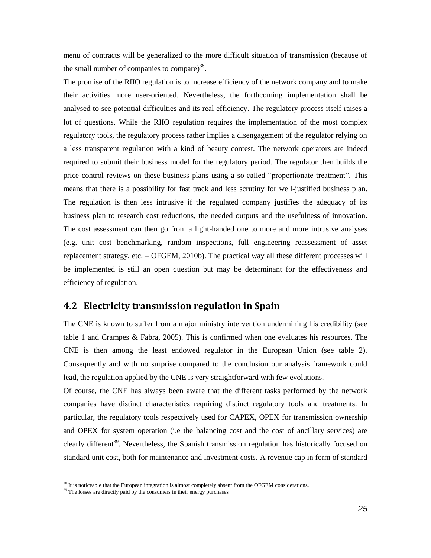menu of contracts will be generalized to the more difficult situation of transmission (because of the small number of companies to compare) $^{38}$ .

The promise of the RIIO regulation is to increase efficiency of the network company and to make their activities more user-oriented. Nevertheless, the forthcoming implementation shall be analysed to see potential difficulties and its real efficiency. The regulatory process itself raises a lot of questions. While the RIIO regulation requires the implementation of the most complex regulatory tools, the regulatory process rather implies a disengagement of the regulator relying on a less transparent regulation with a kind of beauty contest. The network operators are indeed required to submit their business model for the regulatory period. The regulator then builds the price control reviews on these business plans using a so-called "proportionate treatment". This means that there is a possibility for fast track and less scrutiny for well-justified business plan. The regulation is then less intrusive if the regulated company justifies the adequacy of its business plan to research cost reductions, the needed outputs and the usefulness of innovation. The cost assessment can then go from a light-handed one to more and more intrusive analyses (e.g. unit cost benchmarking, random inspections, full engineering reassessment of asset replacement strategy, etc. – OFGEM, 2010b). The practical way all these different processes will be implemented is still an open question but may be determinant for the effectiveness and efficiency of regulation.

### **4.2 Electricity transmission regulation in Spain**

The CNE is known to suffer from a major ministry intervention undermining his credibility (see table 1 and Crampes & Fabra, 2005). This is confirmed when one evaluates his resources. The CNE is then among the least endowed regulator in the European Union (see table 2). Consequently and with no surprise compared to the conclusion our analysis framework could lead, the regulation applied by the CNE is very straightforward with few evolutions.

Of course, the CNE has always been aware that the different tasks performed by the network companies have distinct characteristics requiring distinct regulatory tools and treatments. In particular, the regulatory tools respectively used for CAPEX, OPEX for transmission ownership and OPEX for system operation (i.e the balancing cost and the cost of ancillary services) are clearly different<sup>39</sup>. Nevertheless, the Spanish transmission regulation has historically focused on standard unit cost, both for maintenance and investment costs. A revenue cap in form of standard

<sup>&</sup>lt;sup>38</sup> It is noticeable that the European integration is almost completely absent from the OFGEM considerations.

 $39$  The losses are directly paid by the consumers in their energy purchases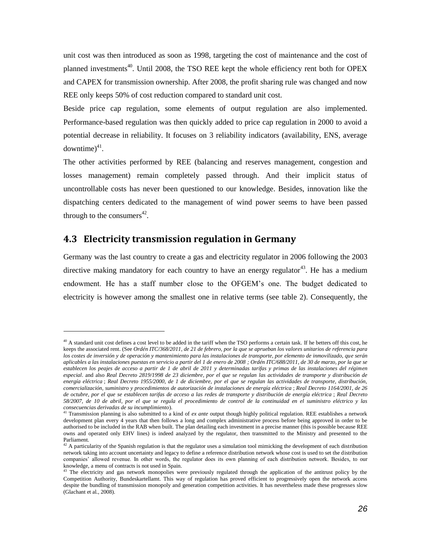unit cost was then introduced as soon as 1998, targeting the cost of maintenance and the cost of planned investments<sup>40</sup>. Until 2008, the TSO REE kept the whole efficiency rent both for OPEX and CAPEX for transmission ownership. After 2008, the profit sharing rule was changed and now REE only keeps 50% of cost reduction compared to standard unit cost.

Beside price cap regulation, some elements of output regulation are also implemented. Performance-based regulation was then quickly added to price cap regulation in 2000 to avoid a potential decrease in reliability. It focuses on 3 reliability indicators (availability, ENS, average downtime) $41$ .

The other activities performed by REE (balancing and reserves management, congestion and losses management) remain completely passed through. And their implicit status of uncontrollable costs has never been questioned to our knowledge. Besides, innovation like the dispatching centers dedicated to the management of wind power seems to have been passed through to the consumers $^{42}$ .

### **4.3 Electricity transmission regulation in Germany**

l

Germany was the last country to create a gas and electricity regulator in 2006 following the 2003 directive making mandatory for each country to have an energy regulator  $43$ . He has a medium endowment. He has a staff number close to the OFGEM"s one. The budget dedicated to electricity is however among the smallest one in relative terms (see table 2). Consequently, the

 $40$  A standard unit cost defines a cost level to be added in the tariff when the TSO performs a certain task. If he betters off this cost, he keeps the associated rent. (See *Ordén ITC/368/2011, de 21 de febrero, por la que se aprueban los valores unitarios de referencia para los costes de inversión y de operación y mantenimiento para las instalaciones de transporte, por elemento de inmovilizado, que serán aplicables a las instalaciones puestas en servicio a partir del 1 de enero de 2008 ; Ordén ITC/688/2011, de 30 de marzo, por la que se establecen los peajes de acceso a partir de 1 de abril de 2011 y determinadas tarifas y primas de las instalaciones del régimen especial*. and also *Real Decreto 2819/1998 de 23 diciembre, por el que se regulan las actividades de transporte y distribución de energía eléctrica* ; *Real Decreto 1955/2000, de 1 de diciembre, por el que se regulan las actividades de transporte, distribución, comercialización, suministro y procedimientos de autorización de instalaciones de energía eléctrica* ; *Real Decreto 1164/2001, de 26 de octubre, por el que se establecen tarifas de acceso a las redes de transporte y distribución de energía eléctrica* ; *Real Decreto 58/2007, de 10 de abril, por el que se regula el procedimiento de control de la continuidad en el suministro eléctrico y las consecuencias derivadas de su incumplimiento*).

<sup>41</sup> Transmission planning is also submitted to a kind of *ex ante* output though highly political regulation. REE establishes a network development plan every 4 years that then follows a long and complex administrative process before being approved in order to be authorised to be included in the RAB when built. The plan detailing each investment in a precise manner (this is possible because REE owns and operated only EHV lines) is indeed analyzed by the regulator, then transmitted to the Ministry and presented to the Parliament.

 $42$  A particularity of the Spanish regulation is that the regulator uses a simulation tool mimicking the development of each distribution network taking into account uncertainty and legacy to define a reference distribution network whose cost is used to set the distribution companies" allowed revenue. In other words, the regulator does its own planning of each distribution network. Besides, to our knowledge, a menu of contracts is not used in Spain.

<sup>&</sup>lt;sup>43</sup> The electricity and gas network monopolies were previously regulated through the application of the antitrust policy by the Competition Authority, Bundeskartellamt. This way of regulation has proved efficient to progressively open the network access despite the bundling of transmission monopoly and generation competition activities. It has nevertheless made these progresses slow (Glachant et al., 2008).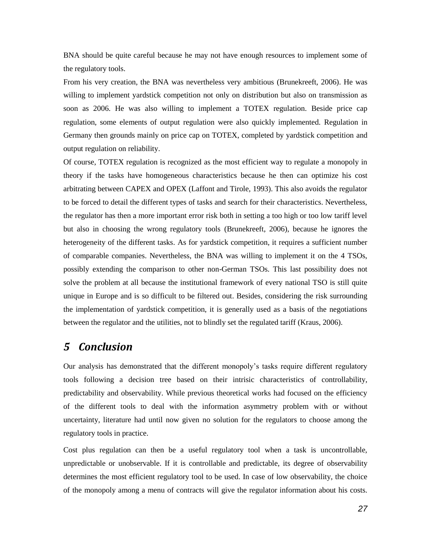BNA should be quite careful because he may not have enough resources to implement some of the regulatory tools.

From his very creation, the BNA was nevertheless very ambitious (Brunekreeft, 2006). He was willing to implement yardstick competition not only on distribution but also on transmission as soon as 2006. He was also willing to implement a TOTEX regulation. Beside price cap regulation, some elements of output regulation were also quickly implemented. Regulation in Germany then grounds mainly on price cap on TOTEX, completed by yardstick competition and output regulation on reliability.

Of course, TOTEX regulation is recognized as the most efficient way to regulate a monopoly in theory if the tasks have homogeneous characteristics because he then can optimize his cost arbitrating between CAPEX and OPEX (Laffont and Tirole, 1993). This also avoids the regulator to be forced to detail the different types of tasks and search for their characteristics. Nevertheless, the regulator has then a more important error risk both in setting a too high or too low tariff level but also in choosing the wrong regulatory tools (Brunekreeft, 2006), because he ignores the heterogeneity of the different tasks. As for yardstick competition, it requires a sufficient number of comparable companies. Nevertheless, the BNA was willing to implement it on the 4 TSOs, possibly extending the comparison to other non-German TSOs. This last possibility does not solve the problem at all because the institutional framework of every national TSO is still quite unique in Europe and is so difficult to be filtered out. Besides, considering the risk surrounding the implementation of yardstick competition, it is generally used as a basis of the negotiations between the regulator and the utilities, not to blindly set the regulated tariff (Kraus, 2006).

# *5 Conclusion*

Our analysis has demonstrated that the different monopoly"s tasks require different regulatory tools following a decision tree based on their intrisic characteristics of controllability, predictability and observability. While previous theoretical works had focused on the efficiency of the different tools to deal with the information asymmetry problem with or without uncertainty, literature had until now given no solution for the regulators to choose among the regulatory tools in practice.

Cost plus regulation can then be a useful regulatory tool when a task is uncontrollable, unpredictable or unobservable. If it is controllable and predictable, its degree of observability determines the most efficient regulatory tool to be used. In case of low observability, the choice of the monopoly among a menu of contracts will give the regulator information about his costs.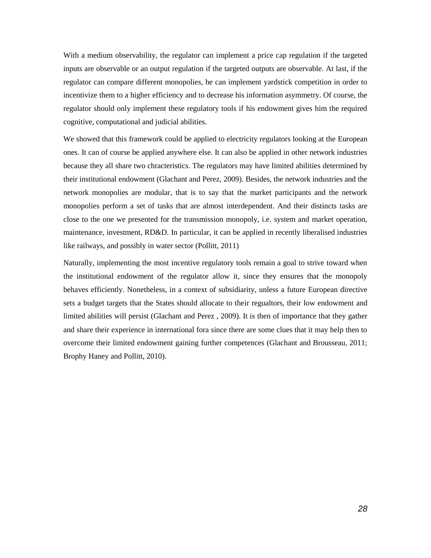With a medium observability, the regulator can implement a price cap regulation if the targeted inputs are observable or an output regulation if the targeted outputs are observable. At last, if the regulator can compare different monopolies, he can implement yardstick competition in order to incentivize them to a higher efficiency and to decrease his information asymmetry. Of course, the regulator should only implement these regulatory tools if his endowment gives him the required cognitive, computational and judicial abilities.

We showed that this framework could be applied to electricity regulators looking at the European ones. It can of course be applied anywhere else. It can also be applied in other network industries because they all share two chracteristics. The regulators may have limited abilities determined by their institutional endowment (Glachant and Perez, 2009). Besides, the network industries and the network monopolies are modular, that is to say that the market participants and the network monopolies perform a set of tasks that are almost interdependent. And their distincts tasks are close to the one we presented for the transmission monopoly, i.e. system and market operation, maintenance, investment, RD&D. In particular, it can be applied in recently liberalised industries like railways, and possibly in water sector (Pollitt, 2011)

Naturally, implementing the most incentive regulatory tools remain a goal to strive toward when the institutional endowment of the regulator allow it, since they ensures that the monopoly behaves efficiently. Nonetheless, in a context of subsidiarity, unless a future European directive sets a budget targets that the States should allocate to their regualtors, their low endowment and limited abilities will persist (Glachant and Perez , 2009). It is then of importance that they gather and share their experience in international fora since there are some clues that it may help then to overcome their limited endowment gaining further competences (Glachant and Brousseau, 2011; Brophy Haney and Pollitt, 2010).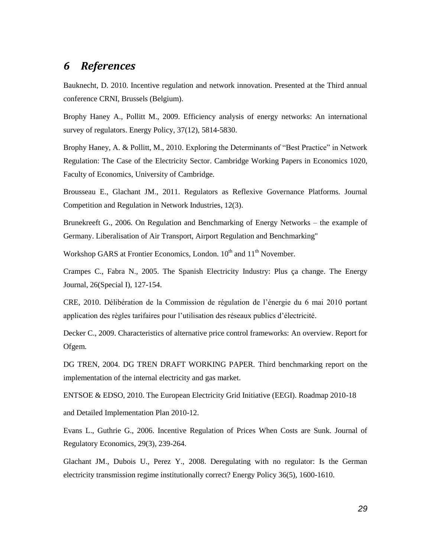# *6 References*

Bauknecht, D. 2010. Incentive regulation and network innovation. Presented at the Third annual conference CRNI, Brussels (Belgium).

Brophy Haney A., Pollitt M., 2009. Efficiency analysis of energy networks: An international survey of regulators. Energy Policy, 37(12), 5814-5830.

Brophy Haney, A. & Pollitt, M., 2010. Exploring the Determinants of "Best Practice" in Network Regulation: The Case of the Electricity Sector. Cambridge Working Papers in Economics 1020, Faculty of Economics, University of Cambridge.

Brousseau E., Glachant JM., 2011. Regulators as Reflexive Governance Platforms. Journal Competition and Regulation in Network Industries, 12(3).

Brunekreeft G., 2006. On Regulation and Benchmarking of Energy Networks – the example of Germany. Liberalisation of Air Transport, Airport Regulation and Benchmarking"

Workshop GARS at Frontier Economics, London. 10<sup>th</sup> and 11<sup>th</sup> November.

Crampes C., Fabra N., 2005. The Spanish Electricity Industry: Plus ça change. The Energy Journal, 26(Special I), 127-154.

CRE, 2010. Délibération de la Commission de régulation de l"énergie du 6 mai 2010 portant application des règles tarifaires pour l"utilisation des réseaux publics d"électricité.

Decker C., 2009. Characteristics of alternative price control frameworks: An overview. Report for Ofgem.

DG TREN, 2004. DG TREN DRAFT WORKING PAPER. Third benchmarking report on the implementation of the internal electricity and gas market.

ENTSOE & EDSO, 2010. The European Electricity Grid Initiative (EEGI). Roadmap 2010-18

and Detailed Implementation Plan 2010-12.

Evans L., Guthrie G., 2006. Incentive Regulation of Prices When Costs are Sunk. Journal of Regulatory Economics, 29(3), 239-264.

Glachant JM., Dubois U., Perez Y., 2008. Deregulating with no regulator: Is the German electricity transmission regime institutionally correct? Energy Policy 36(5), 1600-1610.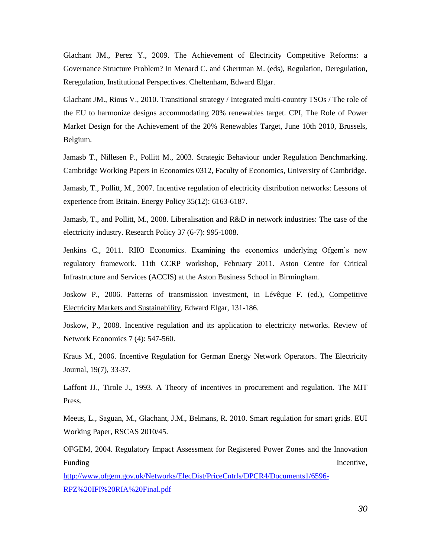Glachant JM., Perez Y., 2009. The Achievement of Electricity Competitive Reforms: a Governance Structure Problem? In Menard C. and Ghertman M. (eds), Regulation, Deregulation, Reregulation, Institutional Perspectives. Cheltenham, Edward Elgar.

Glachant JM., Rious V., 2010. Transitional strategy / Integrated multi-country TSOs / The role of the EU to harmonize designs accommodating 20% renewables target. CPI, The Role of Power Market Design for the Achievement of the 20% Renewables Target, June 10th 2010, Brussels, Belgium.

Jamasb T., Nillesen P., Pollitt M., 2003. Strategic Behaviour under Regulation Benchmarking. Cambridge Working Papers in Economics 0312, Faculty of Economics, University of Cambridge.

Jamasb, T., Pollitt, M., 2007. Incentive regulation of electricity distribution networks: Lessons of experience from Britain. Energy Policy 35(12): 6163-6187.

Jamasb, T., and Pollitt, M., 2008. Liberalisation and R&D in network industries: The case of the electricity industry. Research Policy 37 (6-7): 995-1008.

Jenkins C., 2011. RIIO Economics. Examining the economics underlying Ofgem"s new regulatory framework. 11th CCRP workshop, February 2011. Aston Centre for Critical Infrastructure and Services (ACCIS) at the Aston Business School in Birmingham.

Joskow P., 2006. Patterns of transmission investment, in Lévêque F. (ed.), Competitive Electricity Markets and Sustainability, Edward Elgar, 131-186.

Joskow, P., 2008. Incentive regulation and its application to electricity networks. Review of Network Economics 7 (4): 547-560.

Kraus M., 2006. Incentive Regulation for German Energy Network Operators. The Electricity Journal, 19(7), 33-37.

Laffont JJ., Tirole J., 1993. A Theory of incentives in procurement and regulation. The MIT Press.

Meeus, L., Saguan, M., Glachant, J.M., Belmans, R. 2010. Smart regulation for smart grids. EUI Working Paper, RSCAS 2010/45.

OFGEM, 2004. Regulatory Impact Assessment for Registered Power Zones and the Innovation Funding Incentive,

[http://www.ofgem.gov.uk/Networks/ElecDist/PriceCntrls/DPCR4/Documents1/6596-](http://www.ofgem.gov.uk/Networks/ElecDist/PriceCntrls/DPCR4/Documents1/6596-RPZ%20IFI%20RIA%20Final.pdf) [RPZ%20IFI%20RIA%20Final.pdf](http://www.ofgem.gov.uk/Networks/ElecDist/PriceCntrls/DPCR4/Documents1/6596-RPZ%20IFI%20RIA%20Final.pdf)